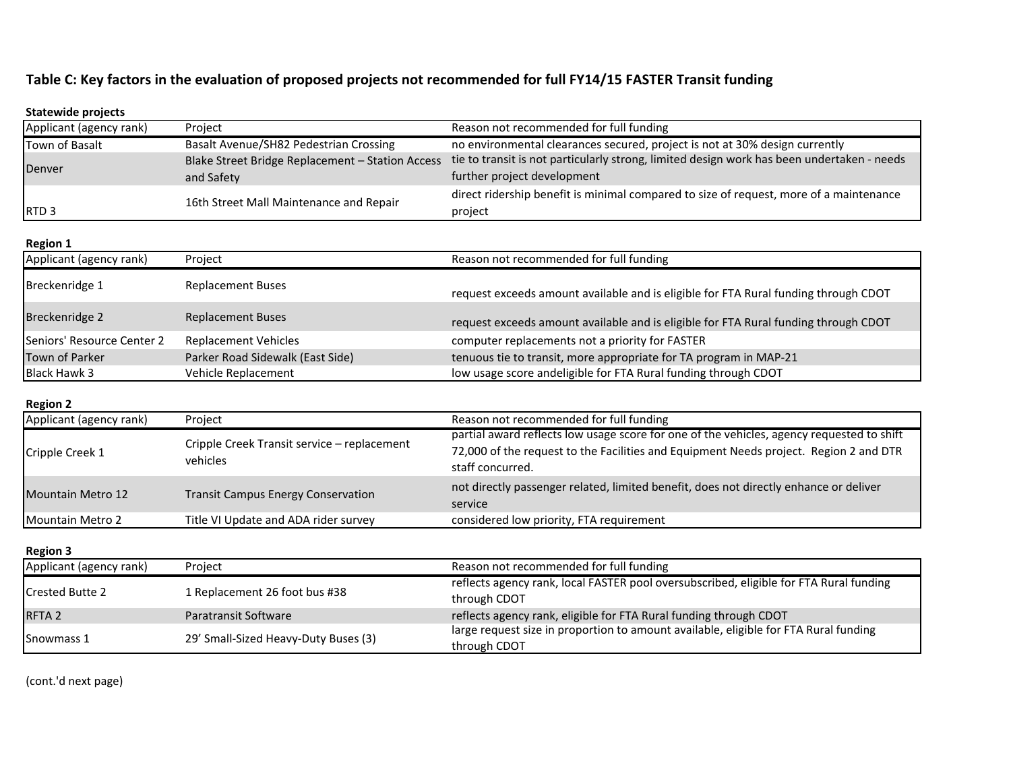## **Table C: Key factors in the evaluation of proposed projects not recommended for full FY14/15 FASTER Transit funding**

| <b>Statewide projects</b>                  |                                                         |                                                                                                                                                           |
|--------------------------------------------|---------------------------------------------------------|-----------------------------------------------------------------------------------------------------------------------------------------------------------|
| Applicant (agency rank)                    | Project                                                 | Reason not recommended for full funding                                                                                                                   |
| Town of Basalt                             | Basalt Avenue/SH82 Pedestrian Crossing                  | no environmental clearances secured, project is not at 30% design currently                                                                               |
| Denver                                     | Blake Street Bridge Replacement - Station Access        | tie to transit is not particularly strong, limited design work has been undertaken - needs                                                                |
|                                            | and Safety                                              | further project development                                                                                                                               |
|                                            | 16th Street Mall Maintenance and Repair                 | direct ridership benefit is minimal compared to size of request, more of a maintenance                                                                    |
| RTD <sub>3</sub>                           |                                                         | project                                                                                                                                                   |
| <b>Region 1</b>                            |                                                         |                                                                                                                                                           |
| Applicant (agency rank)                    | Project                                                 | Reason not recommended for full funding                                                                                                                   |
| Breckenridge 1                             | <b>Replacement Buses</b>                                |                                                                                                                                                           |
|                                            |                                                         | request exceeds amount available and is eligible for FTA Rural funding through CDOT                                                                       |
| Breckenridge 2                             | <b>Replacement Buses</b>                                | request exceeds amount available and is eligible for FTA Rural funding through CDOT                                                                       |
| Seniors' Resource Center 2                 | <b>Replacement Vehicles</b>                             | computer replacements not a priority for FASTER                                                                                                           |
| <b>Town of Parker</b>                      | Parker Road Sidewalk (East Side)                        | tenuous tie to transit, more appropriate for TA program in MAP-21                                                                                         |
| <b>Black Hawk 3</b>                        | Vehicle Replacement                                     | low usage score andeligible for FTA Rural funding through CDOT                                                                                            |
|                                            |                                                         |                                                                                                                                                           |
| <b>Region 2</b><br>Applicant (agency rank) | Project                                                 | Reason not recommended for full funding                                                                                                                   |
|                                            | Cripple Creek Transit service – replacement<br>vehicles | partial award reflects low usage score for one of the vehicles, agency requested to shift                                                                 |
| Cripple Creek 1                            |                                                         | 72,000 of the request to the Facilities and Equipment Needs project. Region 2 and DTR                                                                     |
|                                            |                                                         | staff concurred.                                                                                                                                          |
|                                            | <b>Transit Campus Energy Conservation</b>               | not directly passenger related, limited benefit, does not directly enhance or deliver                                                                     |
| <b>Mountain Metro 12</b>                   |                                                         | service                                                                                                                                                   |
| Mountain Metro 2                           | Title VI Update and ADA rider survey                    | considered low priority, FTA requirement                                                                                                                  |
|                                            |                                                         |                                                                                                                                                           |
| <b>Region 3</b>                            |                                                         |                                                                                                                                                           |
| Applicant (agency rank)                    | Project                                                 | Reason not recommended for full funding                                                                                                                   |
| <b>Crested Butte 2</b>                     | 1 Replacement 26 foot bus #38                           | reflects agency rank, local FASTER pool oversubscribed, eligible for FTA Rural funding                                                                    |
|                                            |                                                         | through CDOT                                                                                                                                              |
| RFTA <sub>2</sub>                          | Paratransit Software                                    | reflects agency rank, eligible for FTA Rural funding through CDOT<br>large request size in proportion to amount available, eligible for FTA Rural funding |
| Snowmass 1                                 | 29' Small-Sized Heavy-Duty Buses (3)                    |                                                                                                                                                           |
|                                            |                                                         | through CDOT                                                                                                                                              |

(cont.'d next page)